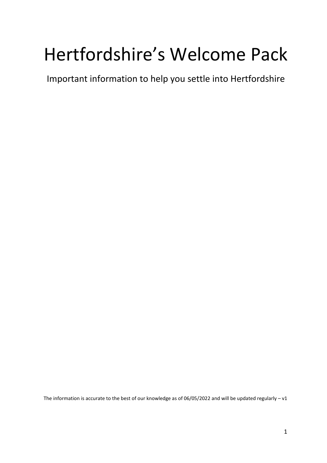# Hertfordshire's Welcome Pack

Important information to help you settle into Hertfordshire

The information is accurate to the best of our knowledge as of 06/05/2022 and will be updated regularly –  $v1$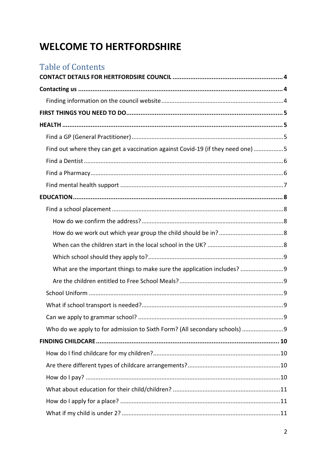## **WELCOME TO HERTFORDSHIRE**

| <b>Table of Contents</b>                                                        |  |
|---------------------------------------------------------------------------------|--|
|                                                                                 |  |
|                                                                                 |  |
|                                                                                 |  |
|                                                                                 |  |
|                                                                                 |  |
|                                                                                 |  |
| Find out where they can get a vaccination against Covid-19 (if they need one) 5 |  |
|                                                                                 |  |
|                                                                                 |  |
|                                                                                 |  |
|                                                                                 |  |
|                                                                                 |  |
|                                                                                 |  |
|                                                                                 |  |
|                                                                                 |  |
|                                                                                 |  |
| What are the important things to make sure the application includes? 9          |  |
|                                                                                 |  |
|                                                                                 |  |
|                                                                                 |  |
|                                                                                 |  |
|                                                                                 |  |
|                                                                                 |  |
|                                                                                 |  |
|                                                                                 |  |
|                                                                                 |  |
|                                                                                 |  |
|                                                                                 |  |
|                                                                                 |  |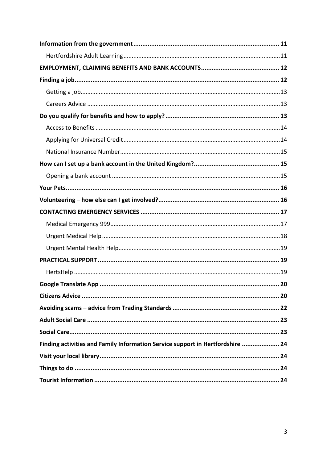| 20                                                                             |
|--------------------------------------------------------------------------------|
|                                                                                |
|                                                                                |
|                                                                                |
|                                                                                |
| Finding activities and Family Information Service support in Hertfordshire  24 |
|                                                                                |
|                                                                                |
|                                                                                |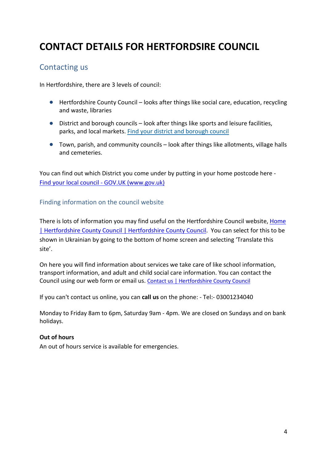## <span id="page-3-0"></span>**CONTACT DETAILS FOR HERTFORDSIRE COUNCIL**

### <span id="page-3-1"></span>Contacting us

In Hertfordshire, there are 3 levels of council:

- Hertfordshire County Council looks after things like social care, education, recycling and waste, libraries
- District and borough councils look after things like sports and leisure facilities, parks, and local markets. [Find your district and borough council](https://www.hertfordshire.gov.uk/about-the-council/how-the-council-works/district-and-borough-councils.aspx)
- Town, parish, and community councils look after things like allotments, village halls and cemeteries.

You can find out which District you come under by putting in your home postcode here - [Find your local council -](https://www.gov.uk/find-local-council) GOV.UK (www.gov.uk)

#### <span id="page-3-2"></span>Finding information on the council website

There is lots of information you may find useful on the Hertfordshire Council website, [Home](https://www.hertfordshire.gov.uk/home.aspx)  [| Hertfordshire County Council | Hertfordshire County Council.](https://www.hertfordshire.gov.uk/home.aspx) You can select for this to be shown in Ukrainian by going to the bottom of home screen and selecting 'Translate this site'.

On here you will find information about services we take care of like school information, transport information, and adult and child social care information. You can contact the Council using our web form or email us. [Contact us | Hertfordshire County Council](https://www.hertfordshire.gov.uk/About-the-council/Contact-us/Contact-a-service.aspx)

If you can't contact us online, you can **call us** on the phone: - Tel:- 03001234040

Monday to Friday 8am to 6pm, Saturday 9am - 4pm. We are closed on Sundays and on bank holidays.

#### **Out of hours**

An out of hours service is available for emergencies.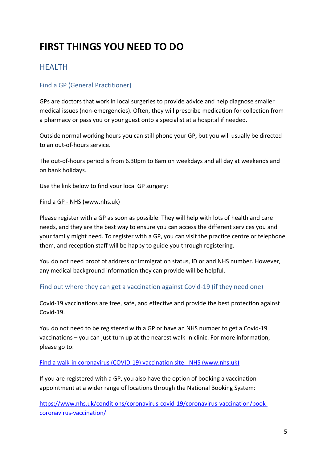## <span id="page-4-0"></span>**FIRST THINGS YOU NEED TO DO**

## <span id="page-4-1"></span>**HFALTH**

#### <span id="page-4-2"></span>Find a GP (General Practitioner)

GPs are doctors that work in local surgeries to provide advice and help diagnose smaller medical issues (non-emergencies). Often, they will prescribe medication for collection from a pharmacy or pass you or your guest onto a specialist at a hospital if needed.

Outside normal working hours you can still phone your GP, but you will usually be directed to an out-of-hours service.

The out-of-hours period is from 6.30pm to 8am on weekdays and all day at weekends and on bank holidays.

Use the link below to find your local GP surgery:

#### Find a GP - [NHS \(www.nhs.uk\)](https://www.nhs.uk/service-search/find-a-gp)

Please register with a GP as soon as possible. They will help with lots of health and care needs, and they are the best way to ensure you can access the different services you and your family might need. To register with a GP, you can visit the practice centre or telephone them, and reception staff will be happy to guide you through registering.

You do not need proof of address or immigration status, ID or and NHS number. However, any medical background information they can provide will be helpful.

#### <span id="page-4-3"></span>Find out where they can get a vaccination against Covid-19 (if they need one)

Covid-19 vaccinations are free, safe, and effective and provide the best protection against Covid-19.

You do not need to be registered with a GP or have an NHS number to get a Covid-19 vaccinations – you can just turn up at the nearest walk-in clinic. For more information, please go to:

#### [Find a walk-in coronavirus \(COVID-19\) vaccination site -](https://www.nhs.uk/conditions/coronavirus-covid-19/coronavirus-vaccination/find-a-walk-in-coronavirus-covid-19-vaccination-site/) NHS (www.nhs.uk)

If you are registered with a GP, you also have the option of booking a vaccination appointment at a wider range of locations through the National Booking System:

[https://www.nhs.uk/conditions/coronavirus-covid-19/coronavirus-vaccination/book](https://www.nhs.uk/conditions/coronavirus-covid-19/coronavirus-vaccination/book-coronavirus-vaccination/)[coronavirus-vaccination/](https://www.nhs.uk/conditions/coronavirus-covid-19/coronavirus-vaccination/book-coronavirus-vaccination/)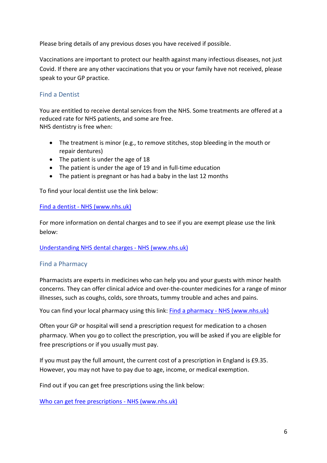Please bring details of any previous doses you have received if possible.

Vaccinations are important to protect our health against many infectious diseases, not just Covid. If there are any other vaccinations that you or your family have not received, please speak to your GP practice.

#### <span id="page-5-0"></span>Find a Dentist

You are entitled to receive dental services from the NHS. Some treatments are offered at a reduced rate for NHS patients, and some are free. NHS dentistry is free when:

- The treatment is minor (e.g., to remove stitches, stop bleeding in the mouth or repair dentures)
- The patient is under the age of 18
- The patient is under the age of 19 and in full-time education
- The patient is pregnant or has had a baby in the last 12 months

To find your local dentist use the link below:

#### Find a dentist - [NHS \(www.nhs.uk\)](https://www.nhs.uk/service-search/find-a-dentist)

For more information on dental charges and to see if you are exempt please use the link below:

#### [Understanding NHS dental charges -](https://www.nhs.uk/nhs-services/dentists/dental-costs/understanding-nhs-dental-charges/) NHS (www.nhs.uk)

#### <span id="page-5-1"></span>Find a Pharmacy

Pharmacists are experts in medicines who can help you and your guests with minor health concerns. They can offer clinical advice and over-the-counter medicines for a range of minor illnesses, such as coughs, colds, sore throats, tummy trouble and aches and pains.

You can find your local pharmacy using this link: Find a pharmacy - [NHS \(www.nhs.uk\)](https://www.nhs.uk/service-search/pharmacy/find-a-pharmacy)

Often your GP or hospital will send a prescription request for medication to a chosen pharmacy. When you go to collect the prescription, you will be asked if you are eligible for free prescriptions or if you usually must pay.

If you must pay the full amount, the current cost of a prescription in England is £9.35. However, you may not have to pay due to age, income, or medical exemption.

Find out if you can get free prescriptions using the link below:

[Who can get free prescriptions -](https://www.nhs.uk/nhs-services/prescriptions-and-pharmacies/who-can-get-free-prescriptions/) NHS (www.nhs.uk)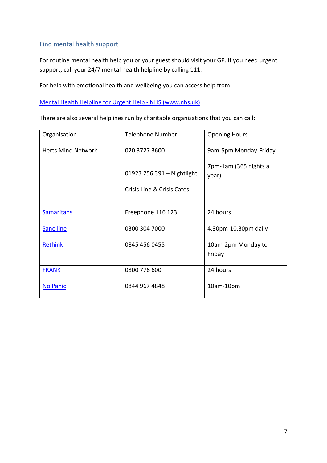#### <span id="page-6-0"></span>Find mental health support

For routine mental health help you or your guest should visit your GP. If you need urgent support, call your 24/7 mental health helpline by calling 111.

For help with emotional health and wellbeing you can access help from

#### [Mental Health Helpline for Urgent Help -](https://www.nhs.uk/service-search/mental-health/find-an-urgent-mental-health-helpline) NHS (www.nhs.uk)

There are also several helplines run by charitable organisations that you can call:

| Organisation              | <b>Telephone Number</b>    | <b>Opening Hours</b>           |
|---------------------------|----------------------------|--------------------------------|
| <b>Herts Mind Network</b> | 020 3727 3600              | 9am-5pm Monday-Friday          |
|                           | 01923 256 391 - Nightlight | 7pm-1am (365 nights a<br>year) |
|                           | Crisis Line & Crisis Cafes |                                |
| <b>Samaritans</b>         | Freephone 116 123          | 24 hours                       |
| <b>Sane line</b>          | 0300 304 7000              | 4.30pm-10.30pm daily           |
| Rethink                   | 0845 456 0455              | 10am-2pm Monday to<br>Friday   |
| <b>FRANK</b>              | 0800 776 600               | 24 hours                       |
| No Panic                  | 0844 967 4848              | 10am-10pm                      |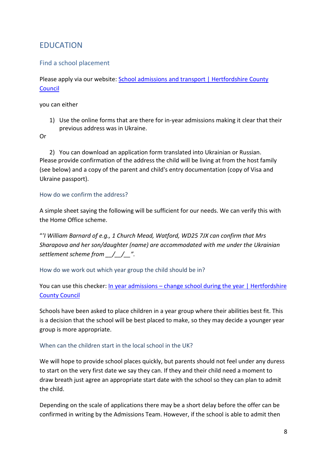## <span id="page-7-0"></span>EDUCATION

#### <span id="page-7-1"></span>Find a school placement

Please apply via our website: School admissions and transport | Hertfordshire County [Council](https://www.hertfordshire.gov.uk/services/schools-and-education/school-admissions/school-admissions-and-transport.aspx?utm_source=homepage&utm_medium=top%20task%20tiles&utm_campaign=top%20task%20tracking&utm_term=school%20admissions)

you can either

1) Use the online forms that are there for in-year admissions making it clear that their previous address was in Ukraine.

Or

2) You can download an application form translated into Ukrainian or Russian. Please provide confirmation of the address the child will be living at from the host family (see below) and a copy of the parent and child's entry documentation (copy of Visa and Ukraine passport).

#### <span id="page-7-2"></span>How do we confirm the address?

A simple sheet saying the following will be sufficient for our needs. We can verify this with the Home Office scheme.

"*'I William Barnard of e.g., 1 Church Mead, Watford, WD25 7JX can confirm that Mrs Sharapova and her son/daughter (name) are accommodated with me under the Ukrainian settlement scheme from \_\_/\_\_/\_\_".* 

<span id="page-7-3"></span>How do we work out which year group the child should be in?

#### You can use this checker: In year admissions – change school during the year | Hertfordshire [County Council](https://www.hertfordshire.gov.uk/services/schools-and-education/school-admissions/in-year-admissions-change-schools-during-the-year/in-year-admissions-change-school-during-the-year.aspx#apply)

Schools have been asked to place children in a year group where their abilities best fit. This is a decision that the school will be best placed to make, so they may decide a younger year group is more appropriate.

#### <span id="page-7-4"></span>When can the children start in the local school in the UK?

We will hope to provide school places quickly, but parents should not feel under any duress to start on the very first date we say they can. If they and their child need a moment to draw breath just agree an appropriate start date with the school so they can plan to admit the child.

Depending on the scale of applications there may be a short delay before the offer can be confirmed in writing by the Admissions Team. However, if the school is able to admit then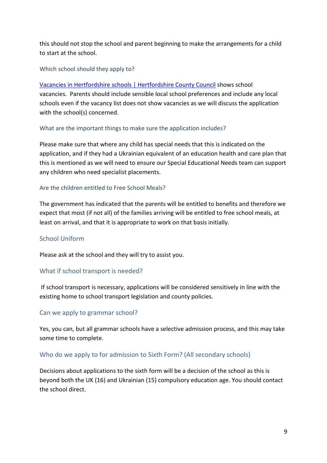this should not stop the school and parent beginning to make the arrangements for a child to start at the school.

#### <span id="page-8-0"></span>Which school should they apply to?

[Vacancies in Hertfordshire schools | Hertfordshire County Council](https://www.hertfordshire.gov.uk/services/schools-and-education/school-admissions/in-year-admissions-change-schools-during-the-year/school-vacancies/vacancies-in-hertfordshire-schools.aspx) shows school vacancies. Parents should include sensible local school preferences and include any local schools even if the vacancy list does not show vacancies as we will discuss the application with the school(s) concerned.

#### <span id="page-8-1"></span>What are the important things to make sure the application includes?

Please make sure that where any child has special needs that this is indicated on the application, and if they had a Ukrainian equivalent of an education health and care plan that this is mentioned as we will need to ensure our Special Educational Needs team can support any children who need specialist placements.

#### <span id="page-8-2"></span>Are the children entitled to Free School Meals?

The government has indicated that the parents will be entitled to benefits and therefore we expect that most (if not all) of the families arriving will be entitled to free school meals, at least on arrival, and that it is appropriate to work on that basis initially.

#### <span id="page-8-3"></span>School Uniform

Please ask at the school and they will try to assist you.

#### <span id="page-8-4"></span>What if school transport is needed?

If school transport is necessary, applications will be considered sensitively in line with the existing home to school transport legislation and county policies.

#### <span id="page-8-5"></span>Can we apply to grammar school?

Yes, you can, but all grammar schools have a selective admission process, and this may take some time to complete.

#### <span id="page-8-6"></span>Who do we apply to for admission to Sixth Form? (All secondary schools)

Decisions about applications to the sixth form will be a decision of the school as this is beyond both the UK (16) and Ukrainian (15) compulsory education age. You should contact the school direct.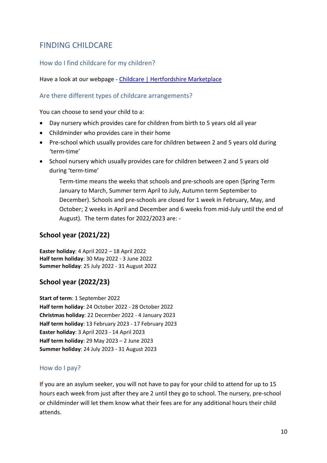## <span id="page-9-0"></span>FINDING CHILDCARE

#### <span id="page-9-1"></span>How do I find childcare for my children?

Have a look at our webpage - [Childcare | Hertfordshire](https://directory.hertfordshire.gov.uk/Categories/31) Marketplace

#### <span id="page-9-2"></span>Are there different types of childcare arrangements?

You can choose to send your child to a:

- Day nursery which provides care for children from birth to 5 years old all year
- Childminder who provides care in their home
- Pre-school which usually provides care for children between 2 and 5 years old during 'term-time'
- School nursery which usually provides care for children between 2 and 5 years old during 'term-time'

Term-time means the weeks that schools and pre-schools are open (Spring Term January to March, Summer term April to July, Autumn term September to December). Schools and pre-schools are closed for 1 week in February, May, and October; 2 weeks in April and December and 6 weeks from mid-July until the end of August). The term dates for 2022/2023 are: -

#### **School year (2021/22)**

**Easter holiday**: 4 April 2022 – 18 April 2022 **Half term holiday**: 30 May 2022 - 3 June 2022 **Summer holiday**: 25 July 2022 - 31 August 2022

#### **School year (2022/23)**

**Start of term**: 1 September 2022 **Half term holiday**: 24 October 2022 - 28 October 2022 **Christmas holiday**: 22 December 2022 - 4 January 2023 **Half term holiday**: 13 February 2023 - 17 February 2023 **Easter holiday**: 3 April 2023 - 14 April 2023 **Half term holiday**: 29 May 2023 – 2 June 2023 **Summer holiday**: 24 July 2023 - 31 August 2023

#### <span id="page-9-3"></span>How do I pay?

If you are an asylum seeker, you will not have to pay for your child to attend for up to 15 hours each week from just after they are 2 until they go to school. The nursery, pre-school or childminder will let them know what their fees are for any additional hours their child attends.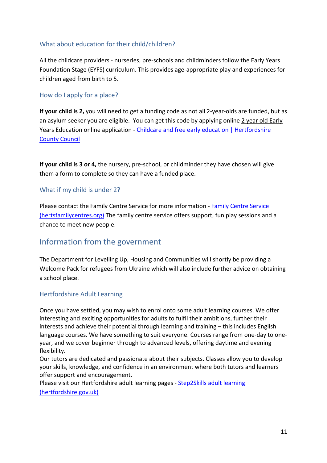#### <span id="page-10-0"></span>What about education for their child/children?

All the childcare providers - nurseries, pre-schools and childminders follow the Early Years Foundation Stage (EYFS) curriculum. This provides age-appropriate play and experiences for children aged from birth to 5.

#### <span id="page-10-1"></span>How do I apply for a place?

**If your child is 2,** you will need to get a funding code as not all 2-year-olds are funded, but as an asylum seeker you are eligible. You can get this code by applying online [2 year old Early](https://www.cloudforedu.org.uk/oeye/buckinghamshire/)  [Years Education online application](https://www.cloudforedu.org.uk/oeye/buckinghamshire/) - Childcare and free early education | Hertfordshire [County Council](https://www.hertfordshire.gov.uk/services/schools-and-education/childcare-and-advice-for-parents/free-early-education-and-childcare/childcare-and-free-early-education.aspx)

**If your child is 3 or 4,** the nursery, pre-school, or childminder they have chosen will give them a form to complete so they can have a funded place.

#### <span id="page-10-2"></span>What if my child is under 2?

Please contact the Family Centre Service for more information - [Family Centre Service](https://www.hertsfamilycentres.org/family-centres.aspx)  [\(hertsfamilycentres.org\)](https://www.hertsfamilycentres.org/family-centres.aspx) The family centre service offers support, fun play sessions and a chance to meet new people.

### <span id="page-10-3"></span>Information from the government

The Department for Levelling Up, Housing and Communities will shortly be providing a Welcome Pack for refugees from Ukraine which will also include further advice on obtaining a school place.

#### <span id="page-10-4"></span>Hertfordshire Adult Learning

Once you have settled, you may wish to enrol onto some adult learning courses. We offer interesting and exciting opportunities for adults to fulfil their ambitions, further their interests and achieve their potential through learning and training – this includes English language courses. We have something to suit everyone. Courses range from one-day to oneyear, and we cover beginner through to advanced levels, offering daytime and evening flexibility.

Our tutors are dedicated and passionate about their subjects. Classes allow you to develop your skills, knowledge, and confidence in an environment where both tutors and learners offer support and encouragement.

Please visit our Hertfordshire adult learning pages - [Step2Skills adult learning](https://www.hertfordshire.gov.uk/microsites/adult-learning/adult-learning.aspx) 

[\(hertfordshire.gov.uk\)](https://www.hertfordshire.gov.uk/microsites/adult-learning/adult-learning.aspx)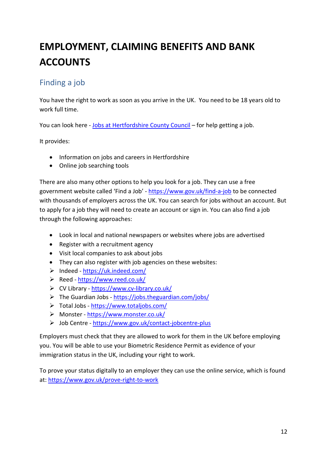## <span id="page-11-0"></span>**EMPLOYMENT, CLAIMING BENEFITS AND BANK ACCOUNTS**

## <span id="page-11-1"></span>Finding a job

You have the right to work as soon as you arrive in the UK. You need to be 18 years old to work full time.

You can look here - [Jobs at Hertfordshire County Council](https://jobs.hertfordshire.gov.uk/home.aspx) – for help getting a job.

It provides:

- Information on jobs and careers in Hertfordshire
- Online job searching tools

There are also many other options to help you look for a job. They can use a free government website called 'Find a Job' - <https://www.gov.uk/find-a-job> to be connected with thousands of employers across the UK. You can search for jobs without an account. But to apply for a job they will need to create an account or sign in. You can also find a job through the following approaches:

- Look in local and national newspapers or websites where jobs are advertised
- Register with a recruitment agency
- Visit local companies to ask about jobs
- They can also register with job agencies on these websites:
- $\triangleright$  Indeed <https://uk.indeed.com/>
- Reed <https://www.reed.co.uk/>
- CV Library <https://www.cv-library.co.uk/>
- $\triangleright$  The Guardian Jobs <https://jobs.theguardian.com/jobs/>
- Total Jobs <https://www.totaljobs.com/>
- Monster <https://www.monster.co.uk/>
- Job Centre <https://www.gov.uk/contact-jobcentre-plus>

Employers must check that they are allowed to work for them in the UK before employing you. You will be able to use your Biometric Residence Permit as evidence of your immigration status in the UK, including your right to work.

To prove your status digitally to an employer they can use the online service, which is found at[: https://www.gov.uk/prove-right-to-work](https://www.gov.uk/prove-right-to-work)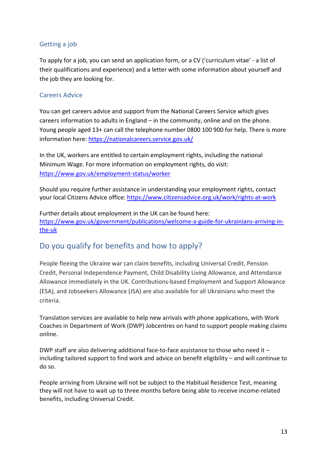#### <span id="page-12-0"></span>Getting a job

To apply for a job, you can send an application form, or a CV ('curriculum vitae' - a list of their qualifications and experience) and a letter with some information about yourself and the job they are looking for.

#### <span id="page-12-1"></span>Careers Advice

You can get careers advice and support from the National Careers Service which gives careers information to adults in England – in the community, online and on the phone. Young people aged 13+ can call the telephone number 0800 100 900 for help. There is more information here:<https://nationalcareers.service.gov.uk/>

In the UK, workers are entitled to certain employment rights, including the national Minimum Wage. For more information on employment rights, do visit: <https://www.gov.uk/employment-status/worker>

Should you require further assistance in understanding your employment rights, contact your local Citizens Advice office:<https://www.citizensadvice.org.uk/work/rights-at-work>

Further details about employment in the UK can be found here: [https://www.gov.uk/government/publications/welcome-a-guide-for-ukrainians-arriving-in](https://www.gov.uk/government/publications/welcome-a-guide-for-ukrainians-arriving-in-the-uk)[the-uk](https://www.gov.uk/government/publications/welcome-a-guide-for-ukrainians-arriving-in-the-uk)

## <span id="page-12-2"></span>Do you qualify for benefits and how to apply?

People fleeing the Ukraine war can claim benefits, including Universal Credit, Pension Credit, Personal Independence Payment, Child Disability Living Allowance, and Attendance Allowance immediately in the UK. Contributions-based Employment and Support Allowance (ESA), and Jobseekers Allowance (JSA) are also available for all Ukrainians who meet the criteria.

Translation services are available to help new arrivals with phone applications, with Work Coaches in Department of Work (DWP) Jobcentres on hand to support people making claims online.

DWP staff are also delivering additional face-to-face assistance to those who need it – including tailored support to find work and advice on benefit eligibility – and will continue to do so.

People arriving from Ukraine will not be subject to the Habitual Residence Test, meaning they will not have to wait up to three months before being able to receive income-related benefits, including Universal Credit.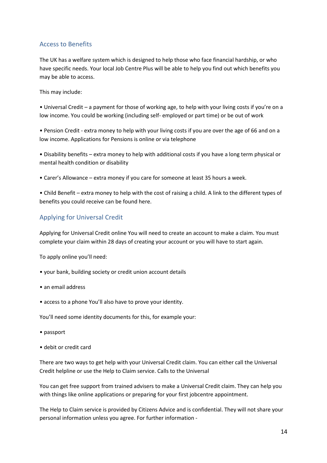#### <span id="page-13-0"></span>Access to Benefits

The UK has a welfare system which is designed to help those who face financial hardship, or who have specific needs. Your local Job Centre Plus will be able to help you find out which benefits you may be able to access.

This may include:

• Universal Credit – a payment for those of working age, to help with your living costs if you're on a low income. You could be working (including self- employed or part time) or be out of work

• Pension Credit - extra money to help with your living costs if you are over the age of 66 and on a low income. Applications for Pensions is online or via telephone

• Disability benefits – extra money to help with additional costs if you have a long term physical or mental health condition or disability

• Carer's Allowance – extra money if you care for someone at least 35 hours a week.

• Child Benefit – extra money to help with the cost of raising a child. A link to the different types of benefits you could receive can be found here.

#### <span id="page-13-1"></span>Applying for Universal Credit

Applying for Universal Credit online You will need to create an account to make a claim. You must complete your claim within 28 days of creating your account or you will have to start again.

To apply online you'll need:

- your bank, building society or credit union account details
- an email address
- access to a phone You'll also have to prove your identity.

You'll need some identity documents for this, for example your:

- passport
- debit or credit card

There are two ways to get help with your Universal Credit claim. You can either call the Universal Credit helpline or use the Help to Claim service. Calls to the Universal

You can get free support from trained advisers to make a Universal Credit claim. They can help you with things like online applications or preparing for your first jobcentre appointment.

The Help to Claim service is provided by Citizens Advice and is confidential. They will not share your personal information unless you agree. For further information -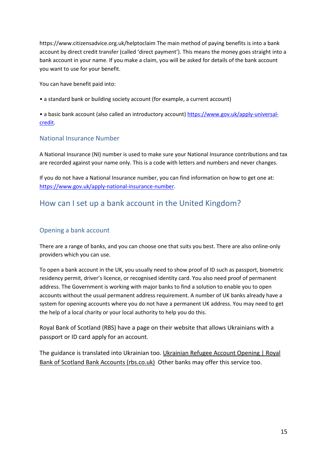https://www.citizensadvice.org.uk/helptoclaim The main method of paying benefits is into a bank account by direct credit transfer (called 'direct payment'). This means the money goes straight into a bank account in your name. If you make a claim, you will be asked for details of the bank account you want to use for your benefit.

You can have benefit paid into:

• a standard bank or building society account (for example, a current account)

• a basic bank account (also called an introductory account) [https://www.gov.uk/apply-universal](https://www.gov.uk/apply-universal-credit)[credit.](https://www.gov.uk/apply-universal-credit)

#### <span id="page-14-0"></span>National Insurance Number

A National Insurance (NI) number is used to make sure your National Insurance contributions and tax are recorded against your name only. This is a code with letters and numbers and never changes.

If you do not have a National Insurance number, you can find information on how to get one at: [https://www.gov.uk/apply-national-insurance-number.](https://www.gov.uk/apply-national-insurance-number)

### <span id="page-14-1"></span>How can I set up a bank account in the United Kingdom?

#### <span id="page-14-2"></span>Opening a bank account

There are a range of banks, and you can choose one that suits you best. There are also online-only providers which you can use.

To open a bank account in the UK, you usually need to show proof of ID such as passport, biometric residency permit, driver's licence, or recognised identity card. You also need proof of permanent address. The Government is working with major banks to find a solution to enable you to open accounts without the usual permanent address requirement. A number of UK banks already have a system for opening accounts where you do not have a permanent UK address. You may need to get the help of a local charity or your local authority to help you do this.

Royal Bank of Scotland (RBS) have a page on their website that allows Ukrainians with a passport or ID card apply for an account.

The guidance is translated into Ukrainian too. [Ukrainian Refugee Account Opening | Royal](https://eur03.safelinks.protection.outlook.com/?url=https%3A%2F%2Fwww.rbs.co.uk%2Fukraine-refugees.html%3Fq%3Dukrainian%26brand%3DRBS%26section%3Dpersonal%26enginekey%3DTf8TzMXzi9r4vwvyu4pg%23apply&data=04%7C01%7CRachel.Prance%40buckinghamshire.gov.uk%7C0504f4993eaa429d511208da115b5fef%7C7fb976b99e2848e180861ddabecf82a0%7C0%7C0%7C637841381402911789%7CUnknown%7CTWFpbGZsb3d8eyJWIjoiMC4wLjAwMDAiLCJQIjoiV2luMzIiLCJBTiI6Ik1haWwiLCJXVCI6Mn0%3D%7C3000&sdata=kFbu2TEpBRShtRECrzzaGQ6QbCqmPTnP%2FrzNODsz07k%3D&reserved=0)  [Bank of Scotland Bank Accounts \(rbs.co.uk\)](https://eur03.safelinks.protection.outlook.com/?url=https%3A%2F%2Fwww.rbs.co.uk%2Fukraine-refugees.html%3Fq%3Dukrainian%26brand%3DRBS%26section%3Dpersonal%26enginekey%3DTf8TzMXzi9r4vwvyu4pg%23apply&data=04%7C01%7CRachel.Prance%40buckinghamshire.gov.uk%7C0504f4993eaa429d511208da115b5fef%7C7fb976b99e2848e180861ddabecf82a0%7C0%7C0%7C637841381402911789%7CUnknown%7CTWFpbGZsb3d8eyJWIjoiMC4wLjAwMDAiLCJQIjoiV2luMzIiLCJBTiI6Ik1haWwiLCJXVCI6Mn0%3D%7C3000&sdata=kFbu2TEpBRShtRECrzzaGQ6QbCqmPTnP%2FrzNODsz07k%3D&reserved=0) Other banks may offer this service too.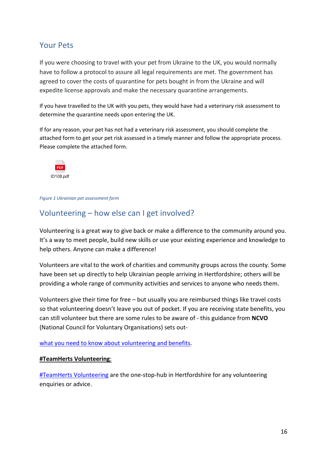### <span id="page-15-0"></span>Your Pets

If you were choosing to travel with your pet from Ukraine to the UK, you would normally have to follow a protocol to assure all legal requirements are met. The government has agreed to cover the costs of quarantine for pets bought in from the Ukraine and will expedite license approvals and make the necessary quarantine arrangements.

If you have travelled to the UK with you pets, they would have had a veterinary risk assessment to determine the quarantine needs upon entering the UK.

If for any reason, your pet has not had a veterinary risk assessment, you should complete the attached form to get your pet risk assessed in a timely manner and follow the appropriate process. Please complete the attached form.



#### *Figure 1 Ukrainian pet assessment form*

### <span id="page-15-1"></span>Volunteering – how else can I get involved?

Volunteering is a great way to give back or make a difference to the community around you. It's a way to meet people, build new skills or use your existing experience and knowledge to help others. Anyone can make a difference!

Volunteers are vital to the work of charities and community groups across the county. Some have been set up directly to help Ukrainian people arriving in Hertfordshire; others will be providing a whole range of community activities and services to anyone who needs them.

Volunteers give their time for free – but usually you are reimbursed things like travel costs so that volunteering doesn't leave you out of pocket. If you are receiving state benefits, you can still volunteer but there are some rules to be aware of - this guidance from **NCVO** (National Council for Voluntary Organisations) sets out-

[what you need to know about volunteering and benefits.](https://eur03.safelinks.protection.outlook.com/?url=https%3A%2F%2Fwww.ncvo.org.uk%2Fncvo-volunteering%2Fvolunteering-and-benefits&data=04%7C01%7CRachel.Prance%40buckinghamshire.gov.uk%7C54d1b4a01e424ad4758408da11c651df%7C7fb976b99e2848e180861ddabecf82a0%7C0%7C0%7C637841841948587761%7CUnknown%7CTWFpbGZsb3d8eyJWIjoiMC4wLjAwMDAiLCJQIjoiV2luMzIiLCJBTiI6Ik1haWwiLCJXVCI6Mn0%3D%7C0&sdata=sLJq9u8J9Kw9kQGaz8OM46Bhie%2FZMcDj7Mkhy%2FE%2F828%3D&reserved=0)

#### **#TeamHerts Volunteering**:

[#TeamHerts Volunteering](https://www.thvolunteering.org.uk/) are the one-stop-hub in Hertfordshire for any volunteering enquiries or advice.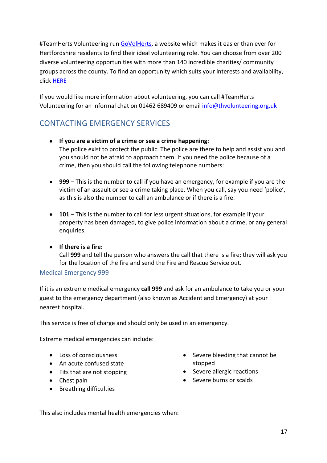#TeamHerts Volunteering run [GoVolHerts,](https://www.govolherts.org.uk/) a website which makes it easier than ever for Hertfordshire residents to find their ideal volunteering role. You can choose from over 200 diverse volunteering opportunities with more than 140 incredible charities/ community groups across the county. To find an opportunity which suits your interests and availability, click [HERE](https://www.govolherts.org.uk/volunteer/opportunities?search_radius=50)

If you would like more information about volunteering, you can call #TeamHerts Volunteering for an informal chat on 01462 689409 or email [info@thvolunteering.org.uk](mailto:info@thvolunteering.org.uk)

## <span id="page-16-0"></span>CONTACTING EMERGENCY SERVICES

- **If you are a victim of a crime or see a crime happening:** The police exist to protect the public. The police are there to help and assist you and you should not be afraid to approach them. If you need the police because of a crime, then you should call the following telephone numbers:
- **999** This is the number to call if you have an emergency, for example if you are the victim of an assault or see a crime taking place. When you call, say you need 'police', as this is also the number to call an ambulance or if there is a fire.
- **101** This is the number to call for less urgent situations, for example if your property has been damaged, to give police information about a crime, or any general enquiries.
- **If there is a fire:**

Call **999** and tell the person who answers the call that there is a fire; they will ask you for the location of the fire and send the Fire and Rescue Service out.

#### <span id="page-16-1"></span>Medical Emergency 999

If it is an extreme medical emergency **call 999** and ask for an ambulance to take you or your guest to the emergency department (also known as Accident and Emergency) at your nearest hospital.

This service is free of charge and should only be used in an emergency.

Extreme medical emergencies can include:

- Loss of consciousness
- An acute confused state
- Fits that are not stopping
- Chest pain
- Breathing difficulties
- Severe bleeding that cannot be stopped
- Severe allergic reactions
- Severe burns or scalds

This also includes mental health emergencies when: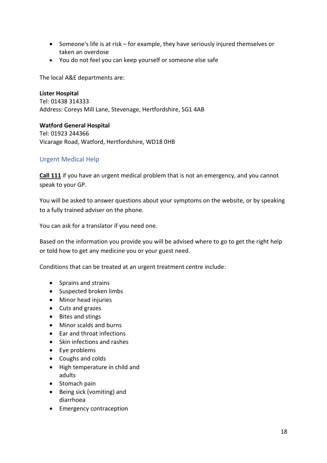- Someone's life is at risk for example, they have seriously injured themselves or taken an overdose
- You do not feel you can keep yourself or someone else safe

The local A&E departments are:

**Lister Hospital** Tel: 01438 314333 Address: Coreys Mill Lane, Stevenage, Hertfordshire, SG1 4AB

**Watford General Hospital** Tel: 01923 244366 Vicarage Road, Watford, Hertfordshire, WD18 0HB

#### <span id="page-17-0"></span>Urgent Medical Help

**Call 111** if you have an urgent medical problem that is not an emergency, and you cannot speak to your GP.

You will be asked to answer questions about your symptoms on the website, or by speaking to a fully trained adviser on the phone.

You can ask for a translator if you need one.

Based on the information you provide you will be advised where to go to get the right help or told how to get any medicine you or your guest need.

Conditions that can be treated at an urgent treatment centre include:

- Sprains and strains
- Suspected broken limbs
- Minor head injuries
- Cuts and grazes
- Bites and stings
- Minor scalds and burns
- Ear and throat infections
- Skin infections and rashes
- Eye problems
- Coughs and colds
- High temperature in child and adults
- Stomach pain
- Being sick (vomiting) and diarrhoea
- Emergency contraception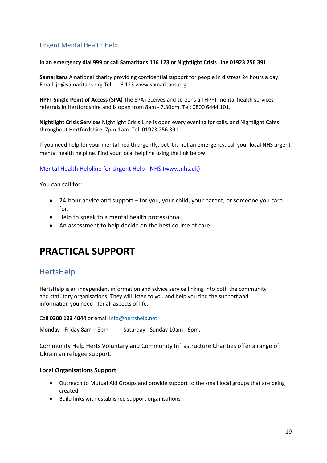#### <span id="page-18-0"></span>Urgent Mental Health Help

#### **In an emergency dial 999 or call Samaritans 116 123 or Nightlight Crisis Line 01923 256 391**

**Samaritans** A national charity providing confidential support for people in distress 24 hours a day. Email: jo@samaritans.org Tel: 116 123 www.samaritans.org

**HPFT Single Point of Access (SPA)** The SPA receives and screens all HPFT mental health services referrals in Hertfordshire and is open from 8am - 7.30pm. Tel: 0800 6444 101.

**Nightlight Crisis Services** Nightlight Crisis Line is open every evening for calls, and Nightlight Cafes throughout Hertfordshire. 7pm-1am. Tel: 01923 256 391

If you need help for your mental health urgently, but it is not an emergency, call your local NHS urgent mental health helpline. Find your local helpline using the link below:

#### [Mental Health Helpline for Urgent Help -](https://www.nhs.uk/service-search/mental-health/find-an-urgent-mental-health-helpline) NHS (www.nhs.uk)

You can call for:

- 24-hour advice and support for you, your child, your parent, or someone you care for.
- Help to speak to a mental health professional.
- An assessment to help decide on the best course of care.

## <span id="page-18-1"></span>**PRACTICAL SUPPORT**

## <span id="page-18-2"></span>HertsHelp

HertsHelp is an independent information and advice service linking into both the community and statutory organisations. They will listen to you and help you find the support and information you need - for all aspects of life.

Call **0300 123 4044** or email [info@hertshelp.net](mailto:info@hertshelp.net)

Monday - Friday 8am – 8pm Saturday - Sunday 10am - 6pm.

Community Help Herts Voluntary and Community Infrastructure Charities offer a range of Ukrainian refugee support.

#### **Local Organisations Support**

- Outreach to Mutual Aid Groups and provide support to the small local groups that are being created
- Build links with established support organisations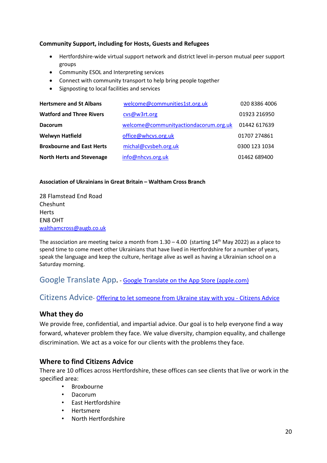#### **Community Support, including for Hosts, Guests and Refugees**

- Hertfordshire-wide virtual support network and district level in-person mutual peer support groups
- Community ESOL and Interpreting services
- Connect with community transport to help bring people together
- Signposting to local facilities and services

| <b>Hertsmere and St Albans</b>   | welcome@communities1st.org.uk         | 020 8386 4006 |
|----------------------------------|---------------------------------------|---------------|
| <b>Watford and Three Rivers</b>  | cvs@w3rt.org                          | 01923 216950  |
| <b>Dacorum</b>                   | welcome@communityactiondacorum.org.uk | 01442 617639  |
| <b>Welwyn Hatfield</b>           | office@whcvs.org.uk                   | 01707 274861  |
| <b>Broxbourne and East Herts</b> | michal@cvsbeh.org.uk                  | 0300 123 1034 |
| <b>North Herts and Stevenage</b> | info@nhcvs.org.uk                     | 01462 689400  |

#### **Association of Ukrainians in Great Britain – Waltham Cross Branch**

28 Flamstead End Road Cheshunt Herts EN8 OHT [walthamcross@augb.co.uk](mailto:walthamcross@augb.co.uk)

The association are meeting twice a month from  $1.30 - 4.00$  (starting  $14<sup>th</sup>$  May 2022) as a place to spend time to come meet other Ukrainians that have lived in Hertfordshire for a number of years, speak the language and keep the culture, heritage alive as well as having a Ukrainian school on a Saturday morning.

#### <span id="page-19-0"></span>Google Translate App**.** *-* [Google Translate on the App](https://apps.apple.com/gb/app/google-translate/id414706506?msclkid=32b9ea46ab6711ec99831e9cf6c6d769) Store (apple.com)

<span id="page-19-1"></span>Citizens Advice- [Offering to let someone from Ukraine stay with you -](https://www.citizensadvice.org.uk/immigration/offering-to-let-someone-from-ukraine-stay-with-you/) Citizens Advice

#### **What they do**

We provide free, confidential, and impartial advice. Our goal is to help everyone find a way forward, whatever problem they face. We value diversity, champion equality, and challenge discrimination. We act as a voice for our clients with the problems they face.

#### **Where to find Citizens Advice**

There are 10 offices across Hertfordshire, these offices can see clients that live or work in the specified area:

- Broxbourne
- Dacorum
- East Hertfordshire
- Hertsmere
- North Hertfordshire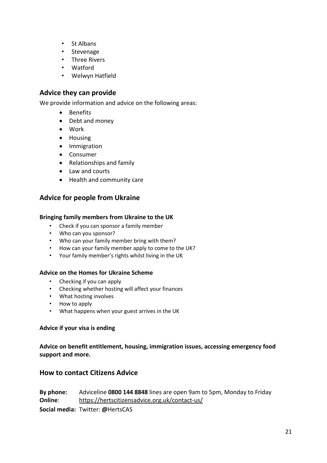- St Albans
- Stevenage
- Three Rivers
- Watford
- Welwyn Hatfield

#### **Advice they can provide**

We provide information and advice on the following areas:

- Benefits
- Debt and money
- Work
- Housing
- Immigration
- Consumer
- Relationships and family
- Law and courts
- Health and community care

#### **Advice for people from Ukraine**

#### **Bringing family members from Ukraine to the UK**

- Check if you can sponsor a family member
- Who can you sponsor?
- Who can your family member bring with them?
- How can your family member apply to come to the UK?
- Your family member's rights whilst living in the UK

#### **Advice on the Homes for Ukraine Scheme**

- Checking if you can apply
- Checking whether hosting will affect your finances
- What hosting involves
- How to apply
- What happens when your guest arrives in the UK

#### **Advice if your visa is ending**

**Advice on benefit entitlement, housing, immigration issues, accessing emergency food support and more.**

#### **How to contact Citizens Advice**

**By phone:** Adviceline **0800 144 8848** lines are open 9am to 5pm, Monday to Friday **Online**: <https://hertscitizensadvice.org.uk/contact-us/> **Social media:** Twitter: **@**HertsCAS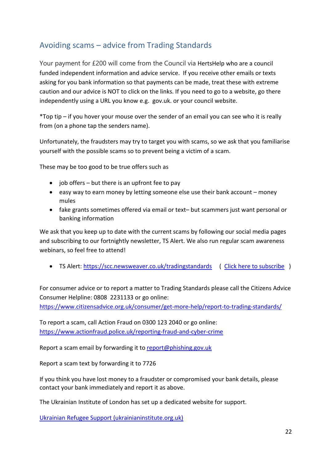## <span id="page-21-0"></span>Avoiding scams – advice from Trading Standards

Your payment for £200 will come from the Council via HertsHelp who are a council funded independent information and advice service. If you receive other emails or texts asking for you bank information so that payments can be made, treat these with extreme caution and our advice is NOT to click on the links. If you need to go to a website, go there independently using a URL you know e.g. gov.uk. or your council website.

\*Top tip – if you hover your mouse over the sender of an email you can see who it is really from (on a phone tap the senders name).

Unfortunately, the fraudsters may try to target you with scams, so we ask that you familiarise yourself with the possible scams so to prevent being a victim of a scam.

These may be too good to be true offers such as

- $\bullet$  job offers but there is an upfront fee to pay
- easy way to earn money by letting someone else use their bank account money mules
- fake grants sometimes offered via email or text– but scammers just want personal or banking information

We ask that you keep up to date with the current scams by following our social media pages and subscribing to our fortnightly newsletter, TS Alert. We also run regular scam awareness webinars, so feel free to attend!

• TS Alert:<https://scc.newsweaver.co.uk/tradingstandards>( [Click here to subscribe](https://scc.newsweaver.co.uk/tradingstandards/7w6p54wwld6?lang=en&a=6&p=61046526&t=32144614) )

For consumer advice or to report a matter to Trading Standards please call the Citizens Advice Consumer Helpline: 0808 2231133 or go online:

<https://www.citizensadvice.org.uk/consumer/get-more-help/report-to-trading-standards/>

To report a scam, call Action Fraud on 0300 123 2040 or go online: <https://www.actionfraud.police.uk/reporting-fraud-and-cyber-crime>

Report a scam email by forwarding it to [report@phishing.gov.uk](mailto:report@phishing.gov.uk)

Report a scam text by forwarding it to 7726

If you think you have lost money to a fraudster or compromised your bank details, please contact your bank immediately and report it as above.

The Ukrainian Institute of London has set up a dedicated website for support.

[Ukrainian Refugee Support \(ukrainianinstitute.org.uk\)](https://refugee-support.ukrainianinstitute.org.uk/)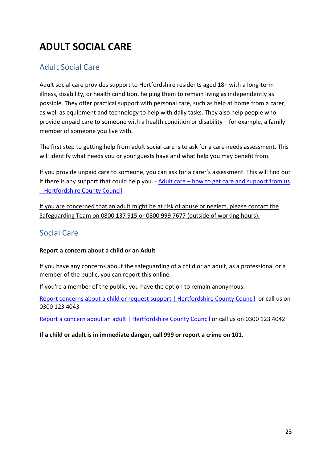## **ADULT SOCIAL CARE**

## <span id="page-22-0"></span>Adult Social Care

Adult social care provides support to Hertfordshire residents aged 18+ with a long-term illness, disability, or health condition, helping them to remain living as independently as possible. They offer practical support with personal care, such as help at home from a carer, as well as equipment and technology to help with daily tasks. They also help people who provide unpaid care to someone with a health condition or disability – for example, a family member of someone you live with.

The first step to getting help from adult social care is to ask for a care needs assessment. This will identify what needs you or your guests have and what help you may benefit from.

If you provide unpaid care to someone, you can ask for a carer's assessment. This will find out if there is any support that could help you. - Adult care – [how to get care and support from us](https://www.hertfordshire.gov.uk/services/adult-social-services/care-and-carers/arranging-and-paying-for-care/adult-care-how-to-get-care-and-support-from-us.aspx)  [| Hertfordshire County Council](https://www.hertfordshire.gov.uk/services/adult-social-services/care-and-carers/arranging-and-paying-for-care/adult-care-how-to-get-care-and-support-from-us.aspx)

If you are concerned that an adult might be at risk of abuse or neglect, please contact the Safeguarding Team on 0800 137 915 or 0800 999 7677 (outside of working hours).

## <span id="page-22-1"></span>Social Care

#### **Report a concern about a child or an Adult**

If you have any concerns about the safeguarding of a child or an adult, as a professional or a member of the public, you can report this online.

If you're a member of the public, you have the option to remain anonymous.

[Report concerns about a child or request support | Hertfordshire County Council](https://www.hertfordshire.gov.uk/services/Childrens-social-care/Child-protection/Report-child-protection-concern.aspx) or call us on 0300 123 4043

[Report a concern about an adult | Hertfordshire County Council](https://www.hertfordshire.gov.uk/services/Adult-social-services/Report-a-concern-about-an-adult/Report-a-concern-about-an-adult.aspx) or call us on 0300 123 4042

**If a child or adult is in immediate danger, call 999 or report a crime on 101.**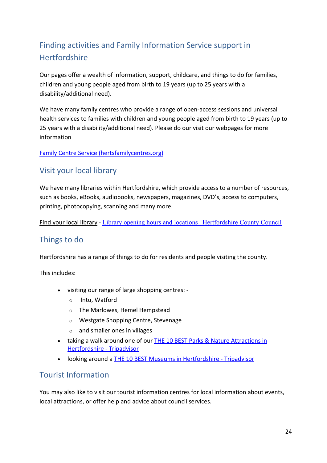## <span id="page-23-0"></span>Finding activities and Family Information Service support in **Hertfordshire**

Our pages offer a wealth of information, support, childcare, and things to do for families, children and young people aged from birth to 19 years (up to 25 years with a disability/additional need).

We have many family centres who provide a range of open-access sessions and universal health services to families with children and young people aged from birth to 19 years (up to 25 years with a disability/additional need). Please do our visit our webpages for more information

[Family Centre Service \(hertsfamilycentres.org\)](https://www.hertsfamilycentres.org/family-centres.aspx)

## <span id="page-23-1"></span>Visit your local library

We have many libraries within Hertfordshire, which provide access to a number of resources, such as books, eBooks, audiobooks, newspapers, magazines, DVD's, access to computers, printing, photocopying, scanning and many more.

[Find your local library](https://www.buckinghamshire.gov.uk/libraries/information-about-local-library/) - [Library opening hours and locations | Hertfordshire County Council](https://www.hertfordshire.gov.uk/services/libraries-and-archives/library-opening-hours/library-opening-hours-and-locations.aspx)

## <span id="page-23-2"></span>Things to do

Hertfordshire has a range of things to do for residents and people visiting the county.

This includes:

- visiting our range of large shopping centres:
	- o Intu, Watford
	- o The Marlowes, Hemel Hempstead
	- o Westgate Shopping Centre, Stevenage
	- o and smaller ones in villages
- taking a walk around one of our [THE 10 BEST Parks & Nature Attractions in](https://www.tripadvisor.co.uk/Attractions-g186304-Activities-c57-Hertfordshire_England.html)  [Hertfordshire -](https://www.tripadvisor.co.uk/Attractions-g186304-Activities-c57-Hertfordshire_England.html) Tripadvisor
- looking around a [THE 10 BEST Museums in Hertfordshire -](https://www.tripadvisor.co.uk/Attractions-g186304-Activities-c49-Hertfordshire_England.html) Tripadvisor

#### <span id="page-23-3"></span>Tourist Information

You may also like to visit our tourist information centres for local information about events, local attractions, or offer help and advice about council services.